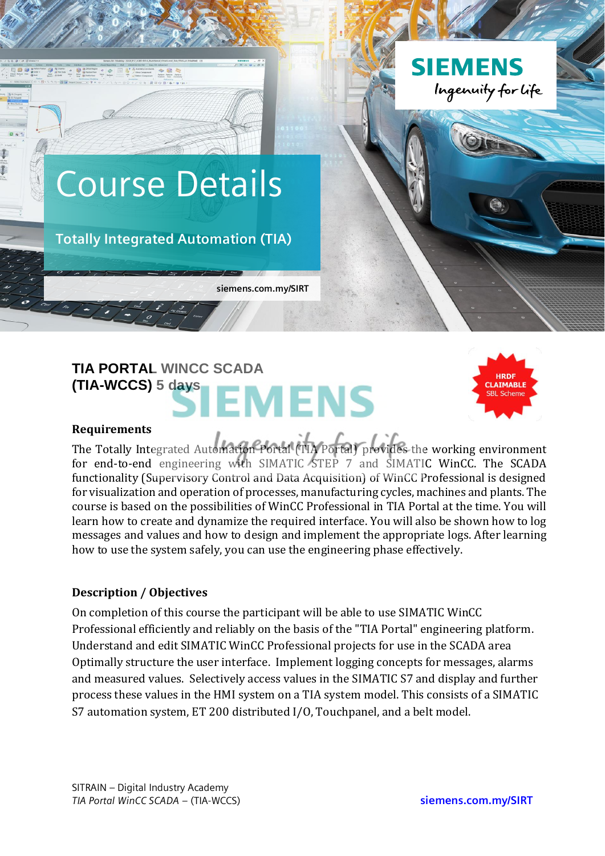

# **TIA PORTAL WINCC SCADA (TIA-WCCS) 5 days EMENS**



#### **Requirements**

The Totally Integrated Automation Portal (TIA Portal) provides the working environment for end-to-end engineering with SIMATIC STEP 7 and SIMATIC WinCC. The SCADA functionality (Supervisory Control and Data Acquisition) of WinCC Professional is designed for visualization and operation of processes, manufacturing cycles, machines and plants. The course is based on the possibilities of WinCC Professional in TIA Portal at the time. You will learn how to create and dynamize the required interface. You will also be shown how to log messages and values and how to design and implement the appropriate logs. After learning how to use the system safely, you can use the engineering phase effectively.

#### **Description / Objectives**

On completion of this course the participant will be able to use SIMATIC WinCC Professional efficiently and reliably on the basis of the "TIA Portal" engineering platform. Understand and edit SIMATIC WinCC Professional projects for use in the SCADA area Optimally structure the user interface. Implement logging concepts for messages, alarms and measured values. Selectively access values in the SIMATIC S7 and display and further process these values in the HMI system on a TIA system model. This consists of a SIMATIC S7 automation system, ET 200 distributed I/O, Touchpanel, and a belt model.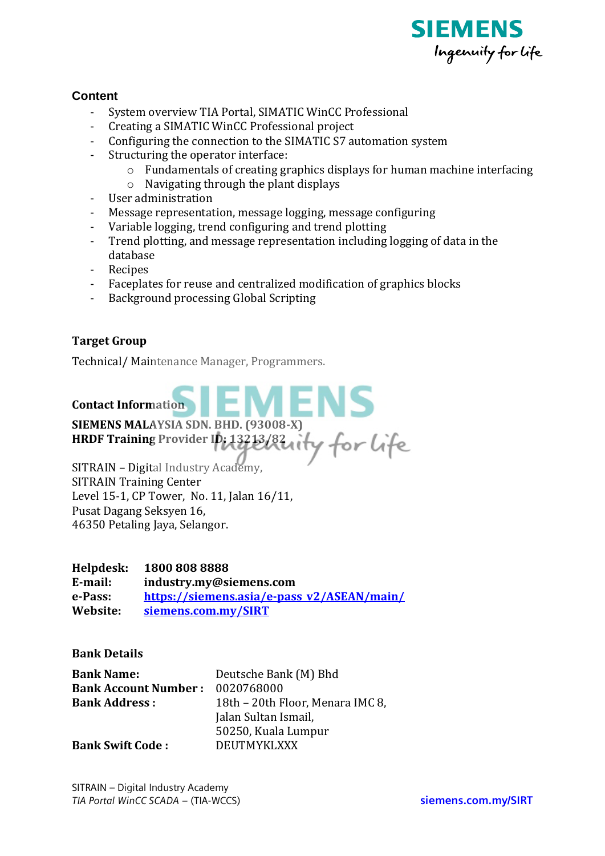

## **Content**

- System overview TIA Portal, SIMATIC WinCC Professional
- Creating a SIMATIC WinCC Professional project
- Configuring the connection to the SIMATIC S7 automation system
- Structuring the operator interface:
	- o Fundamentals of creating graphics displays for human machine interfacing
	- o Navigating through the plant displays
- User administration
- Message representation, message logging, message configuring
- Variable logging, trend configuring and trend plotting
- Trend plotting, and message representation including logging of data in the database
- Recipes
- Faceplates for reuse and centralized modification of graphics blocks
- Background processing Global Scripting

## **Target Group**

Technical/ Maintenance Manager, Programmers.

## **Contact Information**

**SIEMENS MALAYSIA SDN. BHD. (93008-X)**

**HRDF Training Provider ID: 13213/82**

SITRAIN – Digital Industry Academy, SITRAIN Training Center Level 15-1, CP Tower, No. 11, Jalan 16/11, Pusat Dagang Seksyen 16, 46350 Petaling Jaya, Selangor.

#### **Helpdesk: 1800 808 8888**

**E-mail: industry.my@siemens.com e-Pass: [https://siemens.asia/e-pass\\_v2/ASEAN/main/](https://siemens.asia/e-pass_v2/ASEAN/main/) Website: [siemens.com.my/SIRT](http://www.siemens.com.my/SIRT)**

#### **Bank Details**

| <b>Bank Name:</b>           | Deutsche Bank (M) Bhd            |
|-----------------------------|----------------------------------|
| <b>Bank Account Number:</b> | 0020768000                       |
| <b>Bank Address:</b>        | 18th – 20th Floor, Menara IMC 8, |
|                             | Jalan Sultan Ismail,             |
|                             | 50250, Kuala Lumpur              |
| <b>Bank Swift Code:</b>     | <b>DEUTMYKLXXX</b>               |